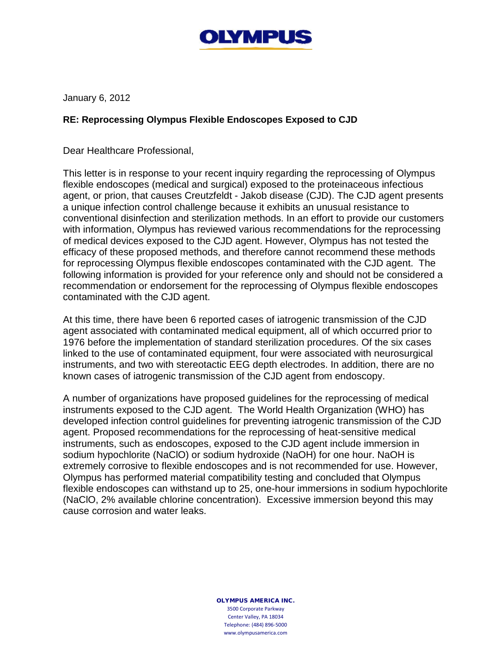

January 6, 2012

## **RE: Reprocessing Olympus Flexible Endoscopes Exposed to CJD**

Dear Healthcare Professional,

This letter is in response to your recent inquiry regarding the reprocessing of Olympus flexible endoscopes (medical and surgical) exposed to the proteinaceous infectious agent, or prion, that causes Creutzfeldt - Jakob disease (CJD). The CJD agent presents a unique infection control challenge because it exhibits an unusual resistance to conventional disinfection and sterilization methods. In an effort to provide our customers with information, Olympus has reviewed various recommendations for the reprocessing of medical devices exposed to the CJD agent. However, Olympus has not tested the efficacy of these proposed methods, and therefore cannot recommend these methods for reprocessing Olympus flexible endoscopes contaminated with the CJD agent. The following information is provided for your reference only and should not be considered a recommendation or endorsement for the reprocessing of Olympus flexible endoscopes contaminated with the CJD agent.

At this time, there have been 6 reported cases of iatrogenic transmission of the CJD agent associated with contaminated medical equipment, all of which occurred prior to 1976 before the implementation of standard sterilization procedures. Of the six cases linked to the use of contaminated equipment, four were associated with neurosurgical instruments, and two with stereotactic EEG depth electrodes. In addition, there are no known cases of iatrogenic transmission of the CJD agent from endoscopy.

A number of organizations have proposed guidelines for the reprocessing of medical instruments exposed to the CJD agent. The World Health Organization (WHO) has developed infection control guidelines for preventing iatrogenic transmission of the CJD agent. Proposed recommendations for the reprocessing of heat-sensitive medical instruments, such as endoscopes, exposed to the CJD agent include immersion in sodium hypochlorite (NaClO) or sodium hydroxide (NaOH) for one hour. NaOH is extremely corrosive to flexible endoscopes and is not recommended for use. However, Olympus has performed material compatibility testing and concluded that Olympus flexible endoscopes can withstand up to 25, one-hour immersions in sodium hypochlorite (NaClO, 2% available chlorine concentration). Excessive immersion beyond this may cause corrosion and water leaks.

> OLYMPUS AMERICA INC. 3500 Corporate Parkway Center Valley, PA 18034 Telephone: (484) 896-5000 www.olympusamerica.com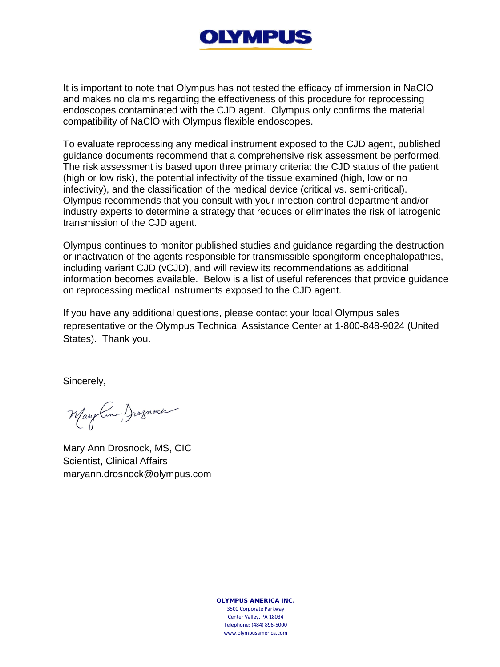## **OLYMPUS**

It is important to note that Olympus has not tested the efficacy of immersion in NaCIO and makes no claims regarding the effectiveness of this procedure for reprocessing endoscopes contaminated with the CJD agent. Olympus only confirms the material compatibility of NaClO with Olympus flexible endoscopes.

To evaluate reprocessing any medical instrument exposed to the CJD agent, published guidance documents recommend that a comprehensive risk assessment be performed. The risk assessment is based upon three primary criteria: the CJD status of the patient (high or low risk), the potential infectivity of the tissue examined (high, low or no infectivity), and the classification of the medical device (critical vs. semi-critical). Olympus recommends that you consult with your infection control department and/or industry experts to determine a strategy that reduces or eliminates the risk of iatrogenic transmission of the CJD agent.

Olympus continues to monitor published studies and guidance regarding the destruction or inactivation of the agents responsible for transmissible spongiform encephalopathies, including variant CJD (vCJD), and will review its recommendations as additional information becomes available. Below is a list of useful references that provide guidance on reprocessing medical instruments exposed to the CJD agent.

If you have any additional questions, please contact your local Olympus sales representative or the Olympus Technical Assistance Center at 1-800-848-9024 (United States). Thank you.

Sincerely,

Mary Com Jognach

Mary Ann Drosnock, MS, CIC Scientist, Clinical Affairs maryann.drosnock@olympus.com

OLYMPUS AMERICA INC. 3500 Corporate Parkway Center Valley, PA 18034 Telephone: (484) 896-5000 www.olympusamerica.com